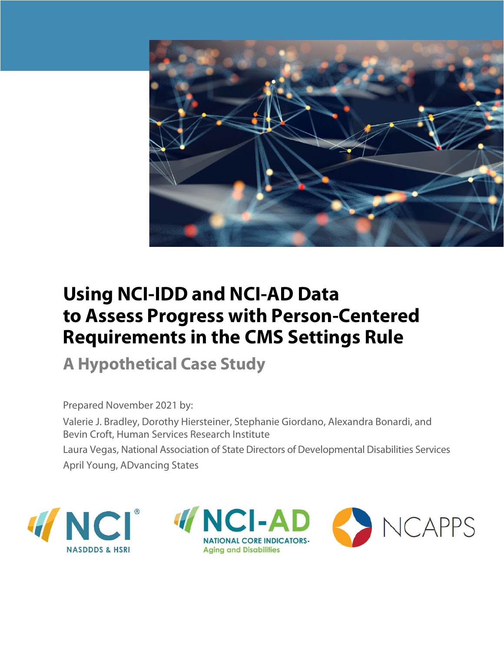

# **Using NCI-IDD and NCI-AD Data to Assess Progress with Person-Centered Requirements in the CMS Settings Rule**

**A Hypothetical Case Study** 

Prepared November 2021 by:

Valerie J. Bradley, Dorothy Hiersteiner, Stephanie Giordano, Alexandra Bonardi, and Bevin Croft, Human Services Research Institute Laura Vegas, National Association of State Directors of Developmental Disabilities Services April Young, ADvancing States



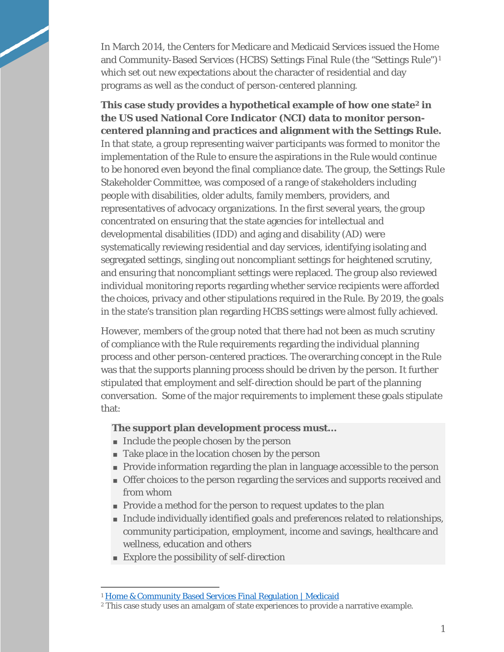In March 2014, the Centers for Medicare and Medicaid Services issued the Home and Community-Based Services (HCBS) Settings Final Rule (the "Settings Rule")[1](#page-1-0)  which set out new expectations about the character of residential and day programs as well as the conduct of person-centered planning.

**This case study provides a hypothetical example of how one state[2](#page-1-1) in the US used National Core Indicator (NCI) data to monitor personcentered planning and practices and alignment with the Settings Rule.**  In that state, a group representing waiver participants was formed to monitor the implementation of the Rule to ensure the aspirations in the Rule would continue to be honored even beyond the final compliance date. The group, the Settings Rule Stakeholder Committee, was composed of a range of stakeholders including people with disabilities, older adults, family members, providers, and representatives of advocacy organizations. In the first several years, the group concentrated on ensuring that the state agencies for intellectual and developmental disabilities (IDD) and aging and disability (AD) were systematically reviewing residential and day services, identifying isolating and segregated settings, singling out noncompliant settings for heightened scrutiny, and ensuring that noncompliant settings were replaced. The group also reviewed individual monitoring reports regarding whether service recipients were afforded the choices, privacy and other stipulations required in the Rule. By 2019, the goals in the state's transition plan regarding HCBS settings were almost fully achieved.

However, members of the group noted that there had not been as much scrutiny of compliance with the Rule requirements regarding the individual planning process and other person-centered practices. The overarching concept in the Rule was that the supports planning process should be driven by the person. It further stipulated that employment and self-direction should be part of the planning conversation. Some of the major requirements to implement these goals stipulate that:

#### **The support plan development process must…**

- Include the people chosen by the person
- Take place in the location chosen by the person
- Provide information regarding the plan in language accessible to the person
- Offer choices to the person regarding the services and supports received and from whom
- Provide a method for the person to request updates to the plan
- Include individually identified goals and preferences related to relationships, community participation, employment, income and savings, healthcare and wellness, education and others
- **Explore the possibility of self-direction**

<sup>&</sup>lt;sup>1</sup> [Home & Community Based Services Final Regulation | Medicaid](https://www.medicaid.gov/medicaid/home-community-based-services/guidance/home-community-based-services-final-regulation/index.html)

<span id="page-1-1"></span><span id="page-1-0"></span><sup>2</sup> This case study uses an amalgam of state experiences to provide a narrative example.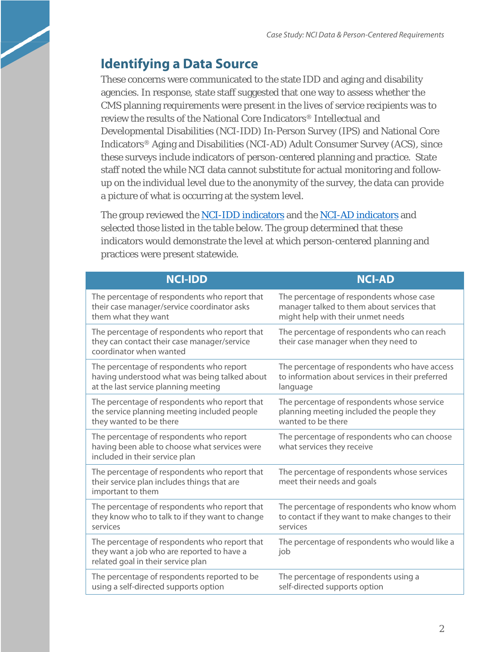# **Identifying a Data Source**

These concerns were communicated to the state IDD and aging and disability agencies. In response, state staff suggested that one way to assess whether the CMS planning requirements were present in the lives of service recipients was to review the results of the National Core Indicators® Intellectual and Developmental Disabilities (NCI-IDD) In-Person Survey (IPS) and National Core Indicators® Aging and Disabilities (NCI-AD) Adult Consumer Survey (ACS), since these surveys include indicators of person-centered planning and practice. State staff noted the while NCI data cannot substitute for actual monitoring and followup on the individual level due to the anonymity of the survey, the data can provide a picture of what is occurring at the system level.

The group reviewed the [NCI-IDD indicators](https://www.nationalcoreindicators.org/upload/aidd/NCI_IDD_Indicators_FINAL_21-22.pdf) and the [NCI-AD indicators](https://nci-ad.org/images/uploads/NCI-AD_Indicators_only_19-20_FINAL.pdf) and selected those listed in the table below. The group determined that these indicators would demonstrate the level at which person-centered planning and practices were present statewide.

| <b>NCI-IDD</b>                                                                                                                    | <b>NCI-AD</b>                                                                       |
|-----------------------------------------------------------------------------------------------------------------------------------|-------------------------------------------------------------------------------------|
| The percentage of respondents who report that                                                                                     | The percentage of respondents whose case                                            |
| their case manager/service coordinator asks                                                                                       | manager talked to them about services that                                          |
| them what they want                                                                                                               | might help with their unmet needs                                                   |
| The percentage of respondents who report that<br>they can contact their case manager/service<br>coordinator when wanted           | The percentage of respondents who can reach<br>their case manager when they need to |
| The percentage of respondents who report                                                                                          | The percentage of respondents who have access                                       |
| having understood what was being talked about                                                                                     | to information about services in their preferred                                    |
| at the last service planning meeting                                                                                              | language                                                                            |
| The percentage of respondents who report that                                                                                     | The percentage of respondents whose service                                         |
| the service planning meeting included people                                                                                      | planning meeting included the people they                                           |
| they wanted to be there                                                                                                           | wanted to be there                                                                  |
| The percentage of respondents who report<br>having been able to choose what services were<br>included in their service plan       | The percentage of respondents who can choose<br>what services they receive          |
| The percentage of respondents who report that<br>their service plan includes things that are<br>important to them                 | The percentage of respondents whose services<br>meet their needs and goals          |
| The percentage of respondents who report that                                                                                     | The percentage of respondents who know whom                                         |
| they know who to talk to if they want to change                                                                                   | to contact if they want to make changes to their                                    |
| services                                                                                                                          | services                                                                            |
| The percentage of respondents who report that<br>they want a job who are reported to have a<br>related goal in their service plan | The percentage of respondents who would like a<br>job                               |
| The percentage of respondents reported to be                                                                                      | The percentage of respondents using a                                               |
| using a self-directed supports option                                                                                             | self-directed supports option                                                       |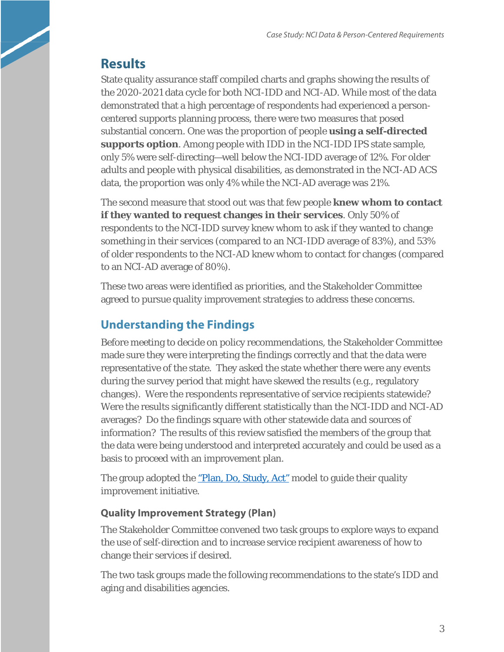## **Results**

State quality assurance staff compiled charts and graphs showing the results of the 2020-2021 data cycle for both NCI-IDD and NCI-AD. While most of the data demonstrated that a high percentage of respondents had experienced a personcentered supports planning process, there were two measures that posed substantial concern. One was the proportion of people **using a self-directed supports option**. Among people with IDD in the NCI-IDD IPS state sample, only 5% were self-directing—well below the NCI-IDD average of 12%. For older adults and people with physical disabilities, as demonstrated in the NCI-AD ACS data, the proportion was only 4% while the NCI-AD average was 21%.

The second measure that stood out was that few people **knew whom to contact if they wanted to request changes in their services**. Only 50% of respondents to the NCI-IDD survey knew whom to ask if they wanted to change something in their services (compared to an NCI-IDD average of 83%), and 53% of older respondents to the NCI-AD knew whom to contact for changes (compared to an NCI-AD average of 80%).

These two areas were identified as priorities, and the Stakeholder Committee agreed to pursue quality improvement strategies to address these concerns.

### **Understanding the Findings**

Before meeting to decide on policy recommendations, the Stakeholder Committee made sure they were interpreting the findings correctly and that the data were representative of the state. They asked the state whether there were any events during the survey period that might have skewed the results (e.g., regulatory changes). Were the respondents representative of service recipients statewide? Were the results significantly different statistically than the NCI-IDD and NCI-AD averages? Do the findings square with other statewide data and sources of information? The results of this review satisfied the members of the group that the data were being understood and interpreted accurately and could be used as a basis to proceed with an improvement plan.

The group adopted the <u>"Plan, Do, Study, Act"</u> model to guide their quality improvement initiative.

### **Quality Improvement Strategy (Plan)**

The Stakeholder Committee convened two task groups to explore ways to expand the use of self-direction and to increase service recipient awareness of how to change their services if desired.

The two task groups made the following recommendations to the state's IDD and aging and disabilities agencies.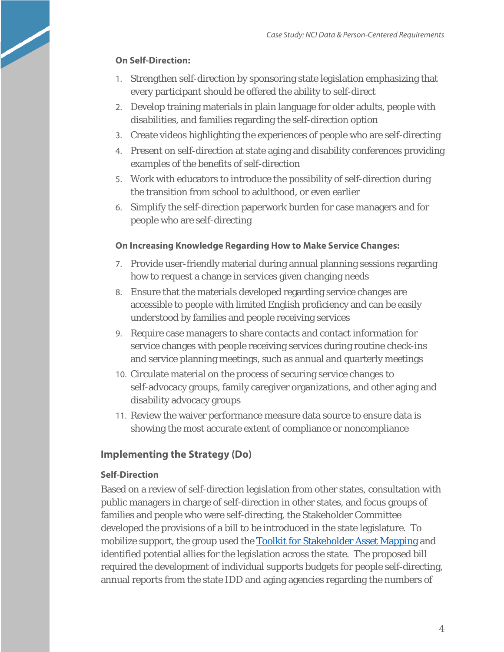### **On Self-Direction:**

- 1. Strengthen self-direction by sponsoring state legislation emphasizing that every participant should be offered the ability to self-direct
- 2. Develop training materials in plain language for older adults, people with disabilities, and families regarding the self-direction option
- 3. Create videos highlighting the experiences of people who are self-directing
- 4. Present on self-direction at state aging and disability conferences providing examples of the benefits of self-direction
- 5. Work with educators to introduce the possibility of self-direction during the transition from school to adulthood, or even earlier
- 6. Simplify the self-direction paperwork burden for case managers and for people who are self-directing

### **On Increasing Knowledge Regarding How to Make Service Changes:**

- 7. Provide user-friendly material during annual planning sessions regarding how to request a change in services given changing needs
- 8. Ensure that the materials developed regarding service changes are accessible to people with limited English proficiency and can be easily understood by families and people receiving services
- 9. Require case managers to share contacts and contact information for service changes with people receiving services during routine check-ins and service planning meetings, such as annual and quarterly meetings
- 10. Circulate material on the process of securing service changes to self-advocacy groups, family caregiver organizations, and other aging and disability advocacy groups
- 11. Review the waiver performance measure data source to ensure data is showing the most accurate extent of compliance or noncompliance

### **Implementing the Strategy (Do)**

### **Self-Direction**

Based on a review of self-direction legislation from other states, consultation with public managers in charge of self-direction in other states, and focus groups of families and people who were self-directing, the Stakeholder Committee developed the provisions of a bill to be introduced in the state legislature. To mobilize support, the group used the [Toolkit for Stakeholder Asset Mapping](https://ncapps.acl.gov/docs/AssetMappingToolkit_200827_linked.pdf) and identified potential allies for the legislation across the state. The proposed bill required the development of individual supports budgets for people self-directing, annual reports from the state IDD and aging agencies regarding the numbers of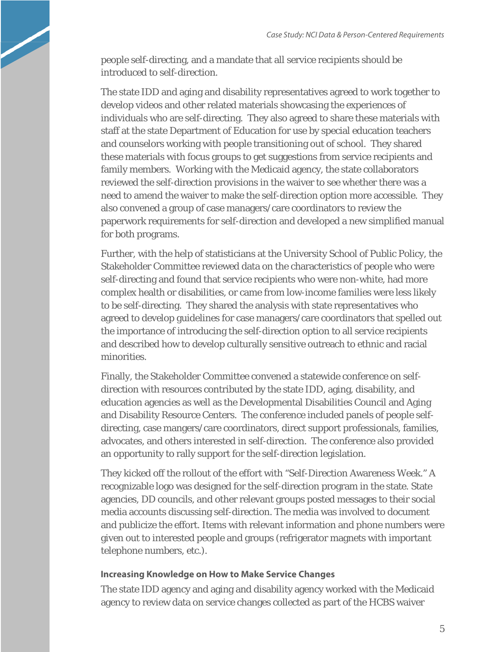people self-directing, and a mandate that all service recipients should be introduced to self-direction.

The state IDD and aging and disability representatives agreed to work together to develop videos and other related materials showcasing the experiences of individuals who are self-directing. They also agreed to share these materials with staff at the state Department of Education for use by special education teachers and counselors working with people transitioning out of school. They shared these materials with focus groups to get suggestions from service recipients and family members. Working with the Medicaid agency, the state collaborators reviewed the self-direction provisions in the waiver to see whether there was a need to amend the waiver to make the self-direction option more accessible. They also convened a group of case managers/care coordinators to review the paperwork requirements for self-direction and developed a new simplified manual for both programs.

Further, with the help of statisticians at the University School of Public Policy, the Stakeholder Committee reviewed data on the characteristics of people who were self-directing and found that service recipients who were non-white, had more complex health or disabilities, or came from low-income families were less likely to be self-directing. They shared the analysis with state representatives who agreed to develop guidelines for case managers/care coordinators that spelled out the importance of introducing the self-direction option to all service recipients and described how to develop culturally sensitive outreach to ethnic and racial minorities.

Finally, the Stakeholder Committee convened a statewide conference on selfdirection with resources contributed by the state IDD, aging, disability, and education agencies as well as the Developmental Disabilities Council and Aging and Disability Resource Centers. The conference included panels of people selfdirecting, case mangers/care coordinators, direct support professionals, families, advocates, and others interested in self-direction. The conference also provided an opportunity to rally support for the self-direction legislation.

They kicked off the rollout of the effort with "Self-Direction Awareness Week." A recognizable logo was designed for the self-direction program in the state. State agencies, DD councils, and other relevant groups posted messages to their social media accounts discussing self-direction. The media was involved to document and publicize the effort. Items with relevant information and phone numbers were given out to interested people and groups (refrigerator magnets with important telephone numbers, etc.).

#### **Increasing Knowledge on How to Make Service Changes**

The state IDD agency and aging and disability agency worked with the Medicaid agency to review data on service changes collected as part of the HCBS waiver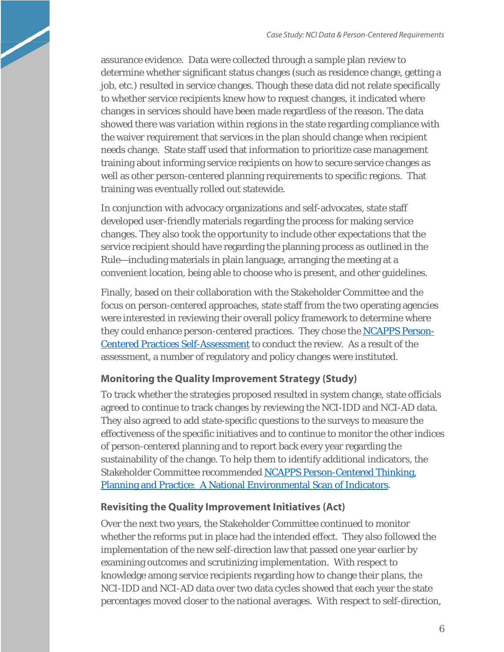assurance evidence. Data were collected through a sample plan review to determine whether significant status changes (such as residence change, getting a job, etc.) resulted in service changes. Though these data did not relate specifically to whether service recipients knew how to request changes, it indicated where changes in services should have been made regardless of the reason. The data showed there was variation within regions in the state regarding compliance with the waiver requirement that services in the plan should change when recipient needs change. State staff used that information to prioritize case management training about informing service recipients on how to secure service changes as well as other person-centered planning requirements to specific regions. That training was eventually rolled out statewide.

In conjunction with advocacy organizations and self-advocates, state staff developed user-friendly materials regarding the process for making service changes. They also took the opportunity to include other expectations that the service recipient should have regarding the planning process as outlined in the Rule—including materials in plain language, arranging the meeting at a convenient location, being able to choose who is present, and other guidelines.

Finally, based on their collaboration with the Stakeholder Committee and the focus on person-centered approaches, state staff from the two operating agencies were interested in reviewing their overall policy framework to determine where they could enhance person-centered practices. They chose the **NCAPPS Person-**[Centered Practices Self-Assessment](https://ncapps.acl.gov/docs/NCAPPS_SelfAssessment_201030.pdf) to conduct the review. As a result of the assessment, a number of regulatory and policy changes were instituted.

### **Monitoring the Quality Improvement Strategy (Study)**

To track whether the strategies proposed resulted in system change, state officials agreed to continue to track changes by reviewing the NCI-IDD and NCI-AD data. They also agreed to add state-specific questions to the surveys to measure the effectiveness of the specific initiatives and to continue to monitor the other indices of person-centered planning and to report back every year regarding the sustainability of the change. To help them to identify additional indicators, the Stakeholder Committee recommended [NCAPPS Person-Centered Thinking,](https://ncapps.acl.gov/docs/NCAPPS_Indicators%20Scan%20_191202_Accessible.pdf)  [Planning and Practice: A National Environmental Scan of Indicators.](https://ncapps.acl.gov/docs/NCAPPS_Indicators%20Scan%20_191202_Accessible.pdf)

### **Revisiting the Quality Improvement Initiatives (Act)**

Over the next two years, the Stakeholder Committee continued to monitor whether the reforms put in place had the intended effect. They also followed the implementation of the new self-direction law that passed one year earlier by examining outcomes and scrutinizing implementation. With respect to knowledge among service recipients regarding how to change their plans, the NCI-IDD and NCI-AD data over two data cycles showed that each year the state percentages moved closer to the national averages. With respect to self-direction,